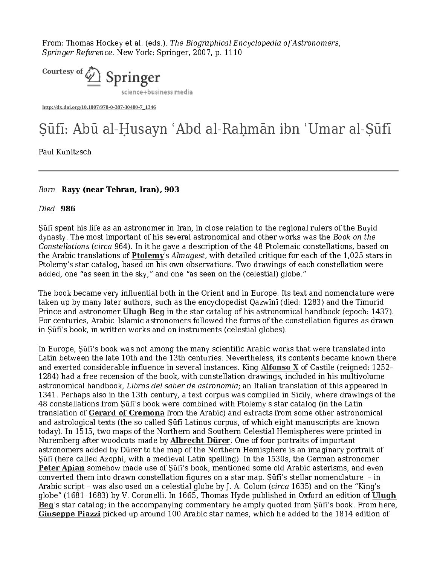From: Thomas Hockey et al. (eds.). The Biographical Encyclopedia of Astronomers, Springer Reference. New York: Springer, 2007, p. 1110



**http://dx.doi.org/10.1007/978-0-387-30400-7\_1346**

Paul Kunitzsch

## Born Rayy (near Tehran, Iran), 903

## Died 986

Ṣūfī spent his life as an astronomer in Iran, in close relation to the regional rulers of the Buyid dynasty. The most important of his several astronomical and other works was the Book on the Constellations (circa 964). In it he gave a description of the 48 Ptolemaic constellations, based on the Arabic translations of Ptolemy's Almagest, with detailed critique for each of the 1,025 stars in Ptolemy's star catalog, based on his own observations. Two drawings of each constellation were added, one "as seen in the sky," and one "as seen on the (celestial) globe."

The book became very influential both in the Orient and in Europe. Its text and nomenclature were taken up by many later authors, such as the encyclopedist Qazwīnī (died: 1283) and the Timurid Prince and astronomer Ulugh Beg in the star catalog of his astronomical handbook (epoch: 1437). For centuries, Arabic–Islamic astronomers followed the forms of the constellation figures as drawn in Ṣūfī's book, in written works and on instruments (celestial globes).

Faul Kunitzsch<br>
Paul Kunitzsch<br>
Paul Kunitzsch<br>
Died<sup>7</sup> **905**<br>
Died<sup>7</sup> **905**<br>
Died<sup>7</sup> **805**<br>
Suid spent his life as an astronomer in from in close relation to the regional rulers of the Breki<br>
Consider the mask important o In Europe, Ṣūfī's book was not among the many scientific Arabic works that were translated into Latin between the late 10th and the 13th centuries. Nevertheless, its contents became known there and exerted considerable influence in several instances. King Alfonso X of Castile (reigned: 1252– 1284) had a free recension of the book, with constellation drawings, included in his multivolume astronomical handbook, Libros del saber de astronomia; an Italian translation of this appeared in 1341. Perhaps also in the 13th century, a text corpus was compiled in Sicily, where drawings of the 48 constellations from Ṣūfī's book were combined with Ptolemy's star catalog (in the Latin translation of Gerard of Cremona from the Arabic) and extracts from some other astronomical and astrological texts (the so called Ṣūfī Latinus corpus, of which eight manuscripts are known today). In 1515, two maps of the Northern and Southern Celestial Hemispheres were printed in Nuremberg after woodcuts made by **Albrecht Dürer**. One of four portraits of important astronomers added by Dürer to the map of the Northern Hemisphere is an imaginary portrait of Ṣūfī (here called Azophi, with a medieval Latin spelling). In the 1530s, the German astronomer Peter Apian somehow made use of Sūfi's book, mentioned some old Arabic asterisms, and even converted them into drawn constellation figures on a star map. Ṣūfī's stellar nomenclature – in Arabic script – was also used on a celestial globe by J. A. Colom (circa 1635) and on the "King's globe" (1681–1683) by V. Coronelli. In 1665, Thomas Hyde published in Oxford an edition of Ulugh Beg's star catalog; in the accompanying commentary he amply quoted from Ṣūfī's book. From here, Giuseppe Piazzi picked up around 100 Arabic star names, which he added to the 1814 edition of